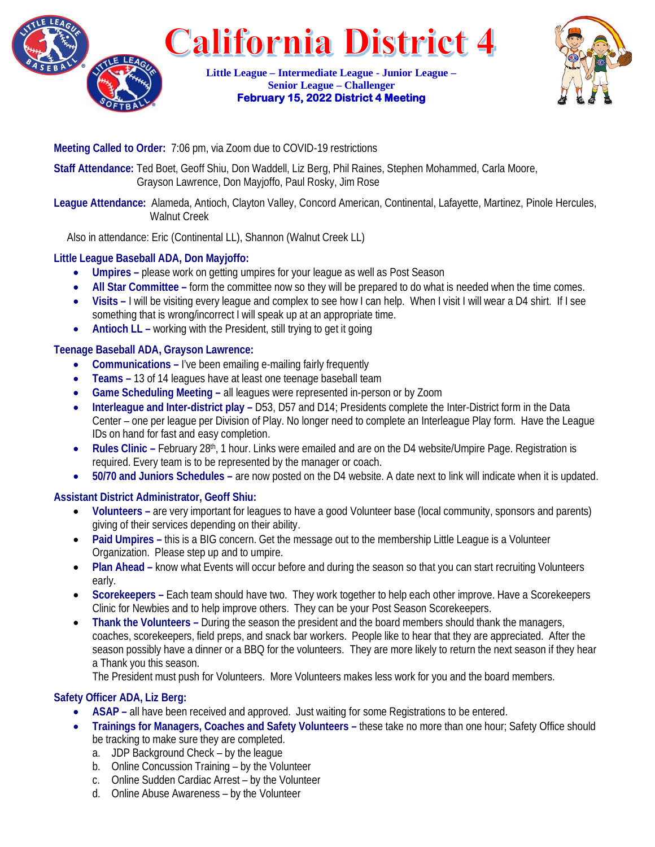

**California District 4** 

**Little League – Intermediate League - Junior League – Senior League – Challenger February 15, 2022 District 4 Meeting** 



## **Meeting Called to Order:** 7:06 pm, via Zoom due to COVID-19 restrictions

**Staff Attendance:** Ted Boet, Geoff Shiu, Don Waddell, Liz Berg, Phil Raines, Stephen Mohammed, Carla Moore, Grayson Lawrence, Don Mayjoffo, Paul Rosky, Jim Rose

### **League Attendance:** Alameda, Antioch, Clayton Valley, Concord American, Continental, Lafayette, Martinez, Pinole Hercules, Walnut Creek

Also in attendance: Eric (Continental LL), Shannon (Walnut Creek LL)

# **Little League Baseball ADA, Don Mayjoffo:**

- **Umpires –** please work on getting umpires for your league as well as Post Season
- All Star Committee form the committee now so they will be prepared to do what is needed when the time comes.
- **Visits –** I will be visiting every league and complex to see how I can help. When I visit I will wear a D4 shirt. If I see something that is wrong/incorrect I will speak up at an appropriate time.
- **Antioch LL** working with the President, still trying to get it going

## **Teenage Baseball ADA, Grayson Lawrence:**

- **Communications –** I've been emailing e-mailing fairly frequently
- **Teams –** 13 of 14 leagues have at least one teenage baseball team
- **Game Scheduling Meeting –** all leagues were represented in-person or by Zoom
- **Interleague and Inter-district play –** D53, D57 and D14; Presidents complete the Inter-District form in the Data Center – one per league per Division of Play. No longer need to complete an Interleague Play form. Have the League IDs on hand for fast and easy completion.
- **Rules Clinic –** February 28<sup>th</sup>, 1 hour. Links were emailed and are on the D4 website/Umpire Page. Registration is required. Every team is to be represented by the manager or coach.
- **50/70 and Juniors Schedules –** are now posted on the D4 website. A date next to link will indicate when it is updated.

# **Assistant District Administrator, Geoff Shiu:**

- **Volunteers –** are very important for leagues to have a good Volunteer base (local community, sponsors and parents) giving of their services depending on their ability.
- Paid Umpires this is a BIG concern. Get the message out to the membership Little League is a Volunteer Organization. Please step up and to umpire.
- **Plan Ahead –** know what Events will occur before and during the season so that you can start recruiting Volunteers early.
- **Scorekeepers –** Each team should have two. They work together to help each other improve. Have a Scorekeepers Clinic for Newbies and to help improve others. They can be your Post Season Scorekeepers.
- **Thank the Volunteers –** During the season the president and the board members should thank the managers, coaches, scorekeepers, field preps, and snack bar workers. People like to hear that they are appreciated. After the season possibly have a dinner or a BBQ for the volunteers. They are more likely to return the next season if they hear a Thank you this season.

The President must push for Volunteers. More Volunteers makes less work for you and the board members.

# **Safety Officer ADA, Liz Berg:**

- **ASAP –** all have been received and approved. Just waiting for some Registrations to be entered.
- **Trainings for Managers, Coaches and Safety Volunteers –** these take no more than one hour; Safety Office should be tracking to make sure they are completed.
	- a. JDP Background Check by the league
	- b. Online Concussion Training by the Volunteer
	- c. Online Sudden Cardiac Arrest by the Volunteer
	- d. Online Abuse Awareness by the Volunteer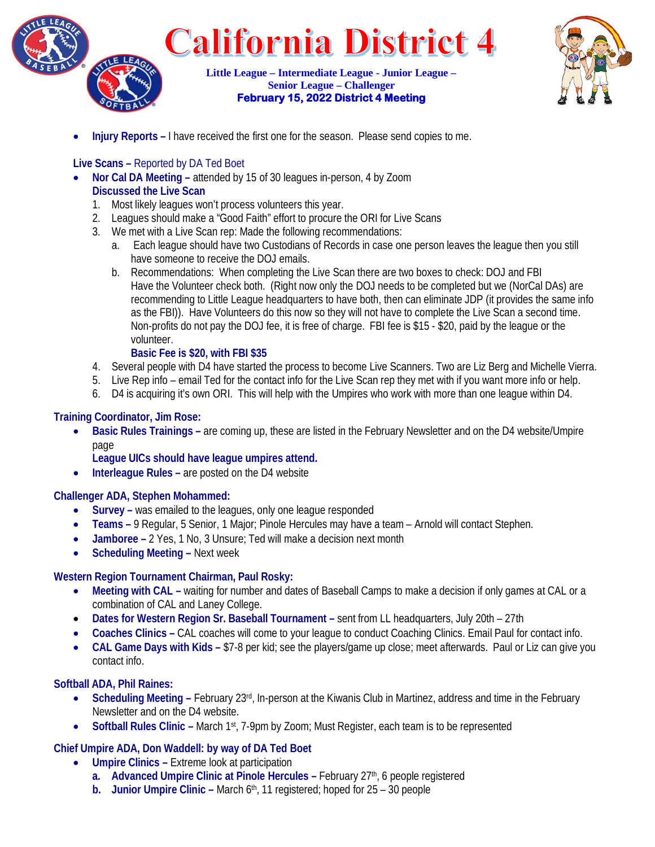



• **Injury Reports –** I have received the first one for the season. Please send copies to me.

### **Live Scans –** Reported by DA Ted Boet

- **Nor Cal DA Meeting –** attended by 15 of 30 leagues in-person, 4 by Zoom **Discussed the Live Scan**
	- 1. Most likely leagues won't process volunteers this year.
	- 2. Leagues should make a "Good Faith" effort to procure the ORI for Live Scans
	- 3. We met with a Live Scan rep: Made the following recommendations:
		- a. Each league should have two Custodians of Records in case one person leaves the league then you still have someone to receive the DOJ emails.
		- b. Recommendations: When completing the Live Scan there are two boxes to check: DOJ and FBI Have the Volunteer check both. (Right now only the DOJ needs to be completed but we (NorCal DAs) are recommending to Little League headquarters to have both, then can eliminate JDP (it provides the same info as the FBI)). Have Volunteers do this now so they will not have to complete the Live Scan a second time. Non-profits do not pay the DOJ fee, it is free of charge. FBI fee is \$15 - \$20, paid by the league or the volunteer.

### **Basic Fee is \$20, with FBI \$35**

- 4. Several people with D4 have started the process to become Live Scanners. Two are Liz Berg and Michelle Vierra.
- 5. Live Rep info email Ted for the contact info for the Live Scan rep they met with if you want more info or help.
- 6. D4 is acquiring it's own ORI. This will help with the Umpires who work with more than one league within D4.

### **Training Coordinator, Jim Rose:**

• **Basic Rules Trainings –** are coming up, these are listed in the February Newsletter and on the D4 website/Umpire page

**League UICs should have league umpires attend.**

**Interleague Rules – are posted on the D4 website** 

#### **Challenger ADA, Stephen Mohammed:**

- **Survey –** was emailed to the leagues, only one league responded
- **Teams –** 9 Regular, 5 Senior, 1 Major; Pinole Hercules may have a team Arnold will contact Stephen.
- **Jamboree –** 2 Yes, 1 No, 3 Unsure; Ted will make a decision next month
- **Scheduling Meeting –** Next week

## **Western Region Tournament Chairman, Paul Rosky:**

- **Meeting with CAL –** waiting for number and dates of Baseball Camps to make a decision if only games at CAL or a combination of CAL and Laney College.
- **Dates for Western Region Sr. Baseball Tournament –** sent from LL headquarters, July 20th 27th
- **Coaches Clinics –** CAL coaches will come to your league to conduct Coaching Clinics. Email Paul for contact info.
- **CAL Game Days with Kids –** \$7-8 per kid; see the players/game up close; meet afterwards. Paul or Liz can give you contact info.

## **Softball ADA, Phil Raines:**

- Scheduling Meeting February 23<sup>rd</sup>, In-person at the Kiwanis Club in Martinez, address and time in the February Newsletter and on the D4 website.
- **Softball Rules Clinic –** March 1<sup>st</sup>, 7-9pm by Zoom; Must Register, each team is to be represented

## **Chief Umpire ADA, Don Waddell: by way of DA Ted Boet**

- **Umpire Clinics –** Extreme look at participation
	- **a. Advanced Umpire Clinic at Pinole Hercules –** February 27<sup>th</sup>, 6 people registered
	- **b. Junior Umpire Clinic –** March 6<sup>th</sup>, 11 registered; hoped for 25 30 people